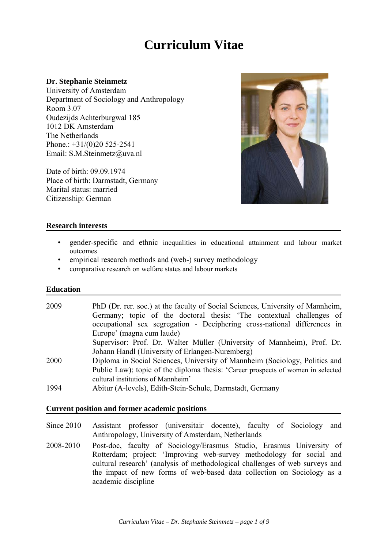# **Curriculum Vitae**

## **Dr. Stephanie Steinmetz**

University of Amsterdam Department of Sociology and Anthropology Room 3.07 Oudezijds Achterburgwal 185 1012 DK Amsterdam The Netherlands Phone.:  $+31/(0)20$  525-2541 Email: S.M.Steinmetz@uva.nl

Date of birth: 09.09.1974 Place of birth: Darmstadt, Germany Marital status: married Citizenship: German



## **Research interests**

- gender-specific and ethnic inequalities in educational attainment and labour market outcomes
- empirical research methods and (web-) survey methodology
- comparative research on welfare states and labour markets

#### **Education**

| 2009 | PhD (Dr. rer. soc.) at the faculty of Social Sciences, University of Mannheim,   |
|------|----------------------------------------------------------------------------------|
|      | Germany; topic of the doctoral thesis: 'The contextual challenges of             |
|      | occupational sex segregation - Deciphering cross-national differences in         |
|      | Europe' (magna cum laude)                                                        |
|      | Supervisor: Prof. Dr. Walter Müller (University of Mannheim), Prof. Dr.          |
|      | Johann Handl (University of Erlangen-Nuremberg)                                  |
| 2000 | Diploma in Social Sciences, University of Mannheim (Sociology, Politics and      |
|      | Public Law); topic of the diploma thesis: 'Career prospects of women in selected |
|      | cultural institutions of Mannheim'                                               |
| 1994 | Abitur (A-levels), Edith-Stein-Schule, Darmstadt, Germany                        |
|      |                                                                                  |

## **Current position and former academic positions**

Since 2010 Assistant professor (universitair docente), faculty of Sociology and Anthropology, University of Amsterdam, Netherlands

2008-2010 Post-doc, faculty of Sociology/Erasmus Studio, Erasmus University of Rotterdam; project: 'Improving web-survey methodology for social and cultural research' (analysis of methodological challenges of web surveys and the impact of new forms of web-based data collection on Sociology as a academic discipline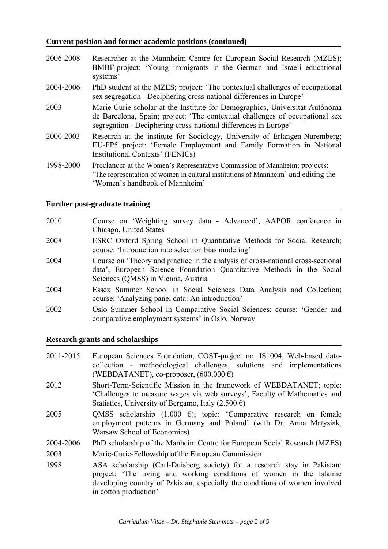## **Current position and former academic positions (continued)**

- 2006-2008 Researcher at the Mannheim Centre for European Social Research (MZES); BMBF-project: 'Young immigrants in the German and Israeli educational systems'
- 2004-2006 PhD student at the MZES; project: 'The contextual challenges of occupational sex segregation - Deciphering cross-national differences in Europe'
- 2003 Marie-Curie scholar at the Institute for Demographics, Universitat Autònoma de Barcelona, Spain; project: 'The contextual challenges of occupational sex segregation - Deciphering cross-national differences in Europe'
- 2000-2003 Research at the institute for Sociology, University of Erlangen-Nuremberg; EU-FP5 project: 'Female Employment and Family Formation in National Institutional Contexts' (FENICs)
- 1998-2000 Freelancer at the Women's Representative Commission of Mannheim; projects: 'The representation of women in cultural institutions of Mannheim' and editing the 'Women's handbook of Mannheim'

## **Further post-graduate training**

- 2010 Course on 'Weighting survey data Advanced', AAPOR conference in Chicago, United States
- 2008 ESRC Oxford Spring School in Quantitative Methods for Social Research; course: 'Introduction into selection bias modeling'
- 2004 Course on 'Theory and practice in the analysis of cross-national cross-sectional data', European Science Foundation Quantitative Methods in the Social Sciences (QMSS) in Vienna, Austria
- 2004 Essex Summer School in Social Sciences Data Analysis and Collection; course: 'Analyzing panel data: An introduction'
- 2002 Oslo Summer School in Comparative Social Sciences; course: 'Gender and comparative employment systems' in Oslo, Norway

### **Research grants and scholarships**

- 2011-2015 European Sciences Foundation, COST-project no. IS1004, Web-based datacollection - methodological challenges, solutions and implementations (WEBDATANET), co-proposer,  $(600.000 \epsilon)$
- 2012 Short-Term-Scientific Mission in the framework of WEBDATANET; topic: 'Challenges to measure wages via web surveys'; Faculty of Mathematics and Statistics, University of Bergamo, Italy (2.500 €)
- 2005 QMSS scholarship (1.000 €); topic: 'Comparative research on female employment patterns in Germany and Poland' (with Dr. Anna Matysiak, Warsaw School of Economics)
- 2004-2006 PhD scholarship of the Manheim Centre for European Social Research (MZES)
- 2003 Marie-Curie-Fellowship of the European Commission
- 1998 ASA scholarship (Carl-Duisberg society) for a research stay in Pakistan; project: 'The living and working conditions of women in the Islamic developing country of Pakistan, especially the conditions of women involved in cotton production'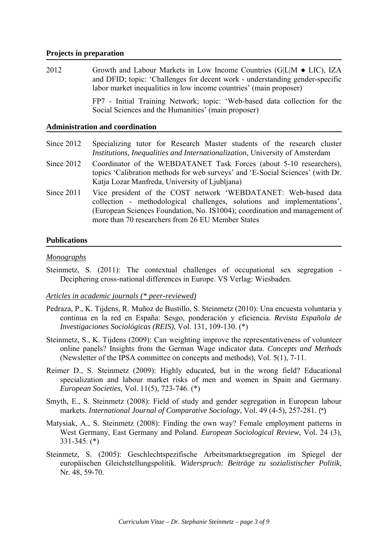## **Projects in preparation**

2012 Growth and Labour Markets in Low Income Countries (G|L|M • LIC), IZA and DFID; topic: 'Challenges for decent work - understanding gender-specific labor market inequalities in low income countries' (main proposer)

FP7 - Initial Training Network; topic: 'Web-based data collection for the Social Sciences and the Humanities' (main proposer)

#### **Administration and coordination**

- Since 2012 Specializing tutor for Research Master students of the research cluster *Institutions, Inequalities and Internationalization*, University of Amsterdam
- Since 2012 Coordinator of the WEBDATANET Task Forces (about 5-10 researchers), topics 'Calibration methods for web surveys' and 'E-Social Sciences' (with Dr. Katja Lozar Manfreda, University of Ljubljana)
- Since 2011 Vice president of the COST network 'WEBDATANET: Web-based data collection - methodological challenges, solutions and implementations', (European Sciences Foundation, No. IS1004); coordination and management of more than 70 researchers from 26 EU Member States

## **Publications**

#### *Monographs*

Steinmetz, S. (2011): The contextual challenges of occupational sex segregation -Deciphering cross-national differences in Europe. VS Verlag: Wiesbaden.

# *Articles in academic journals (\* peer-reviewed)*

- Pedraza, P., K. Tijdens, R. Muñoz de Bustillo, S. Steinmetz (2010): Una encuesta voluntaria y continua en la red en España: Sesgo, ponderación y eficiencia. *Revista Española de Investigaciones Sociológicas (REIS)*, Vol. 131, 109-130. (\*)
- Steinmetz, S., K. Tijdens (2009): Can weighting improve the representativeness of volunteer online panels? Insights from the German Wage indicator data. *Concepts and Methods*  (Newsletter of the IPSA committee on concepts and methods), Vol. 5(1), 7-11.
- Reimer D., S. Steinmetz (2009): Highly educated, but in the wrong field? Educational specialization and labour market risks of men and women in Spain and Germany. *European Societies,* Vol. 11(5), 723-746. (\*)
- Smyth, E., S. Steinmetz (2008): Field of study and gender segregation in European labour markets. *International Journal of Comparative Sociology*, Vol. 49 (4-5), 257-281. (\*)
- Matysiak, A., S. Steinmetz (2008): Finding the own way? Female employment patterns in West Germany, East Germany and Poland. *European Sociological Review*, Vol. 24 (3), 331-345. (\*)
- Steinmetz, S. (2005): Geschlechtspezifische Arbeitsmarktsegregation im Spiegel der europäischen Gleichstellungspolitik. *Widerspruch: Beiträge zu sozialistischer Politik*, Nr. 48, 59-70.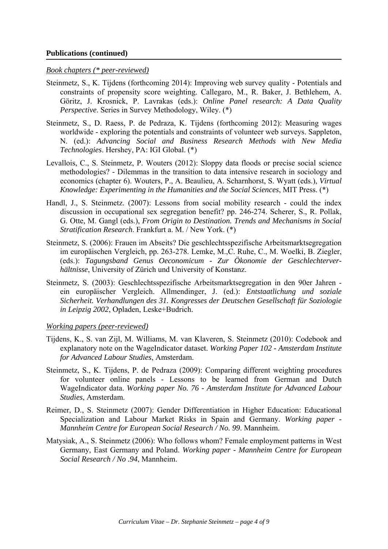## **Publications (continued)**

### *Book chapters (\* peer-reviewed)*

- Steinmetz, S., K. Tijdens (forthcoming 2014): Improving web survey quality Potentials and constraints of propensity score weighting. Callegaro, M., R. Baker, J. Bethlehem, A. Göritz, J. Krosnick, P. Lavrakas (eds.): *Online Panel research: A Data Quality Perspective*. Series in Survey Methodology, Wiley. (\*)
- Steinmetz, S., D. Raess, P. de Pedraza, K. Tijdens (forthcoming 2012): Measuring wages worldwide - exploring the potentials and constraints of volunteer web surveys. Sappleton, N. (ed.): *Advancing Social and Business Research Methods with New Media Technologies*. Hershey, PA: IGI Global. (\*)
- Levallois, C., S. Steinmetz, P. Wouters (2012): Sloppy data floods or precise social science methodologies? - Dilemmas in the transition to data intensive research in sociology and economics (chapter 6). Wouters, P., A. Beaulieu, A. Scharnhorst, S. Wyatt (eds.), *Virtual Knowledge: Experimenting in the Humanities and the Social Sciences*, MIT Press. (\*)
- Handl, J., S. Steinmetz. (2007): Lessons from social mobility research could the index discussion in occupational sex segregation benefit? pp. 246-274. Scherer, S., R. Pollak, G. Otte, M. Gangl (eds.), *From Origin to Destination. Trends and Mechanisms in Social Stratification Research*. Frankfurt a. M. / New York. (\*)
- Steinmetz, S. (2006): Frauen im Abseits? Die geschlechtsspezifische Arbeitsmarktsegregation im europäischen Vergleich, pp. 263-278. Lemke, M.,C. Ruhe, C., M. Woelki, B. Ziegler, (eds.): *Tagungsband Genus Oeconomicum - Zur Ökonomie der Geschlechterverhältnisse*, University of Zürich und University of Konstanz.
- Steinmetz, S. (2003): Geschlechtsspezifische Arbeitsmarktsegregation in den 90er Jahren ein europäischer Vergleich. Allmendinger, J. (ed.): *Entstaatlichung und soziale Sicherheit. Verhandlungen des 31. Kongresses der Deutschen Gesellschaft für Soziologie in Leipzig 2002*, Opladen, Leske+Budrich.

#### *Working papers (peer-reviewed)*

- Tijdens, K., S. van Zijl, M. Williams, M. van Klaveren, S. Steinmetz (2010): Codebook and explanatory note on the WageIndicator dataset. *Working Paper 102 - Amsterdam Institute for Advanced Labour Studies*, Amsterdam.
- Steinmetz, S., K. Tijdens, P. de Pedraza (2009): Comparing different weighting procedures for volunteer online panels - Lessons to be learned from German and Dutch WageIndicator data. *Working paper No. 76 - Amsterdam Institute for Advanced Labour Studies*, Amsterdam.
- Reimer, D., S. Steinmetz (2007): Gender Differentiation in Higher Education: Educational Specialization and Labour Market Risks in Spain and Germany. *Working paper - Mannheim Centre for European Social Research / No. 99*. Mannheim.
- Matysiak, A., S. Steinmetz (2006): Who follows whom? Female employment patterns in West Germany, East Germany and Poland. *Working paper - Mannheim Centre for European Social Research / No .94*, Mannheim.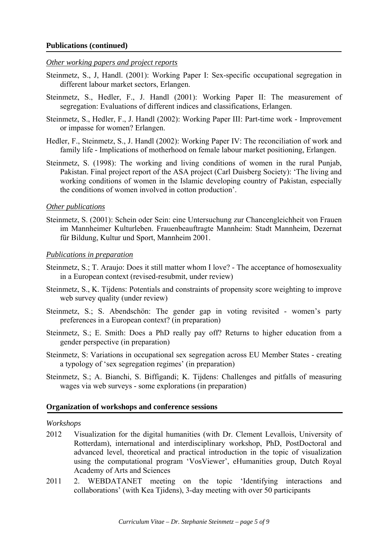## *Other working papers and project reports*

- Steinmetz, S., J, Handl. (2001): Working Paper I: Sex-specific occupational segregation in different labour market sectors, Erlangen.
- Steinmetz, S., Hedler, F., J. Handl (2001): Working Paper II: The measurement of segregation: Evaluations of different indices and classifications, Erlangen.
- Steinmetz, S., Hedler, F., J. Handl (2002): Working Paper III: Part-time work Improvement or impasse for women? Erlangen.
- Hedler, F., Steinmetz, S., J. Handl (2002): Working Paper IV: The reconciliation of work and family life - Implications of motherhood on female labour market positioning, Erlangen.
- Steinmetz, S. (1998): The working and living conditions of women in the rural Punjab, Pakistan. Final project report of the ASA project (Carl Duisberg Society): 'The living and working conditions of women in the Islamic developing country of Pakistan, especially the conditions of women involved in cotton production'.

## *Other publications*

Steinmetz, S. (2001): Schein oder Sein: eine Untersuchung zur Chancengleichheit von Frauen im Mannheimer Kulturleben. Frauenbeauftragte Mannheim: Stadt Mannheim, Dezernat für Bildung, Kultur und Sport, Mannheim 2001.

## *Publications in preparation*

- Steinmetz, S.; T. Araujo: Does it still matter whom I love? The acceptance of homosexuality in a European context (revised-resubmit, under review)
- Steinmetz, S., K. Tijdens: Potentials and constraints of propensity score weighting to improve web survey quality (under review)
- Steinmetz, S.; S. Abendschön: The gender gap in voting revisited women's party preferences in a European context? (in preparation)
- Steinmetz, S.; E. Smith: Does a PhD really pay off? Returns to higher education from a gender perspective (in preparation)
- Steinmetz, S: Variations in occupational sex segregation across EU Member States creating a typology of 'sex segregation regimes' (in preparation)
- Steinmetz, S.; A. Bianchi, S. Biffigandi; K. Tijdens: Challenges and pitfalls of measuring wages via web surveys - some explorations (in preparation)

#### **Organization of workshops and conference sessions**

#### *Workshops*

- 2012 Visualization for the digital humanities (with Dr. Clement Levallois, University of Rotterdam), international and interdisciplinary workshop, PhD, PostDoctoral and advanced level, theoretical and practical introduction in the topic of visualization using the computational program 'VosViewer', eHumanities group, Dutch Royal Academy of Arts and Sciences
- 2011 2. WEBDATANET meeting on the topic 'Identifying interactions and collaborations' (with Kea Tjidens), 3-day meeting with over 50 participants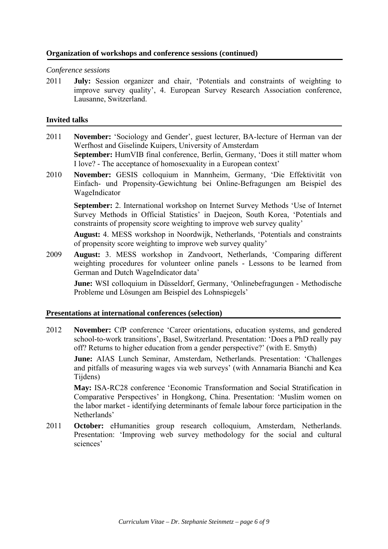# **Organization of workshops and conference sessions (continued)**

## *Conference sessions*

2011 **July:** Session organizer and chair, 'Potentials and constraints of weighting to improve survey quality', 4. European Survey Research Association conference, Lausanne, Switzerland.

## **Invited talks**

- 2011 **November:** 'Sociology and Gender', guest lecturer, BA-lecture of Herman van der Werfhost and Giselinde Kuipers, University of Amsterdam **September:** HumVIB final conference, Berlin, Germany, 'Does it still matter whom I love? - The acceptance of homosexuality in a European context'
- 2010 **November:** GESIS colloquium in Mannheim, Germany, 'Die Effektivität von Einfach- und Propensity-Gewichtung bei Online-Befragungen am Beispiel des WageIndicator

**September:** 2. International workshop on Internet Survey Methods 'Use of Internet Survey Methods in Official Statistics' in Daejeon, South Korea, 'Potentials and constraints of propensity score weighting to improve web survey quality'

**August:** 4. MESS workshop in Noordwijk, Netherlands, 'Potentials and constraints of propensity score weighting to improve web survey quality'

2009 **August:** 3. MESS workshop in Zandvoort, Netherlands, 'Comparing different weighting procedures for volunteer online panels - Lessons to be learned from German and Dutch WageIndicator data'

**June:** WSI colloquium in Düsseldorf, Germany, 'Onlinebefragungen - Methodische Probleme und Lösungen am Beispiel des Lohnspiegels'

## **Presentations at international conferences (selection)**

2012 **November:** CfP conference 'Career orientations, education systems, and gendered school-to-work transitions', Basel, Switzerland. Presentation: 'Does a PhD really pay off? Returns to higher education from a gender perspective?' (with E. Smyth)

**June:** AIAS Lunch Seminar, Amsterdam, Netherlands. Presentation: 'Challenges and pitfalls of measuring wages via web surveys' (with Annamaria Bianchi and Kea Tijdens)

 **May:** ISA-RC28 conference 'Economic Transformation and Social Stratification in Comparative Perspectives' in Hongkong, China. Presentation: 'Muslim women on the labor market - identifying determinants of female labour force participation in the Netherlands'

2011 **October:** eHumanities group research colloquium, Amsterdam, Netherlands. Presentation: 'Improving web survey methodology for the social and cultural sciences'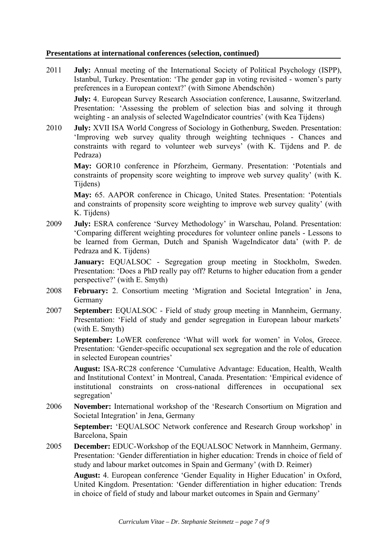# **Presentations at international conferences (selection, continued)**

2011 **July:** Annual meeting of the International Society of Political Psychology (ISPP), Istanbul, Turkey. Presentation: 'The gender gap in voting revisited - women's party preferences in a European context?' (with Simone Abendschön)

**July:** 4. European Survey Research Association conference, Lausanne, Switzerland. Presentation: 'Assessing the problem of selection bias and solving it through weighting - an analysis of selected WageIndicator countries' (with Kea Tijdens)

2010 **July:** XVII ISA World Congress of Sociology in Gothenburg, Sweden. Presentation: 'Improving web survey quality through weighting techniques - Chances and constraints with regard to volunteer web surveys' (with K. Tijdens and P. de Pedraza)

**May:** GOR10 conference in Pforzheim, Germany. Presentation: 'Potentials and constraints of propensity score weighting to improve web survey quality' (with K. Tijdens)

**May:** 65. AAPOR conference in Chicago, United States. Presentation: 'Potentials and constraints of propensity score weighting to improve web survey quality' (with K. Tijdens)

2009 **July:** ESRA conference 'Survey Methodology' in Warschau, Poland. Presentation: 'Comparing different weighting procedures for volunteer online panels - Lessons to be learned from German, Dutch and Spanish WageIndicator data' (with P. de Pedraza and K. Tijdens)

**January:** EQUALSOC - Segregation group meeting in Stockholm, Sweden. Presentation: 'Does a PhD really pay off? Returns to higher education from a gender perspective?' (with E. Smyth)

- 2008 **February:** 2. Consortium meeting 'Migration and Societal Integration' in Jena, Germany
- 2007 **September:** EQUALSOC Field of study group meeting in Mannheim, Germany. Presentation: 'Field of study and gender segregation in European labour markets' (with E. Smyth)

September: LoWER conference 'What will work for women' in Volos, Greece. Presentation: 'Gender-specific occupational sex segregation and the role of education in selected European countries'

**August:** ISA-RC28 conference 'Cumulative Advantage: Education, Health, Wealth and Institutional Context' in Montreal, Canada. Presentation: 'Empirical evidence of institutional constraints on cross-national differences in occupational sex segregation'

2006 **November:** International workshop of the 'Research Consortium on Migration and Societal Integration' in Jena, Germany

**September:** 'EQUALSOC Network conference and Research Group workshop' in Barcelona, Spain

2005 **December:** EDUC-Workshop of the EQUALSOC Network in Mannheim, Germany. Presentation: 'Gender differentiation in higher education: Trends in choice of field of study and labour market outcomes in Spain and Germany' (with D. Reimer)

 **August:** 4. European conference 'Gender Equality in Higher Education' in Oxford, United Kingdom. Presentation: 'Gender differentiation in higher education: Trends in choice of field of study and labour market outcomes in Spain and Germany'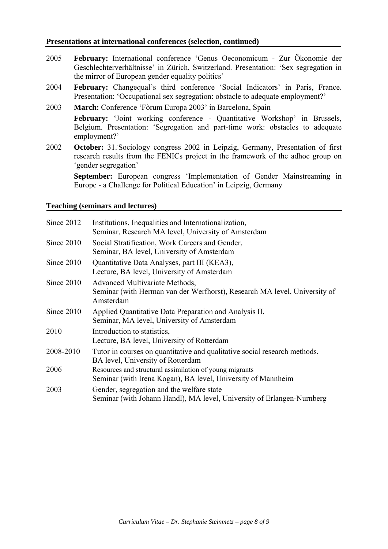## **Presentations at international conferences (selection, continued)**

- 2005 **February:** International conference 'Genus Oeconomicum Zur Ökonomie der Geschlechterverhältnisse' in Zürich, Switzerland. Presentation: 'Sex segregation in the mirror of European gender equality politics'
- 2004 **February:** Changequal's third conference 'Social Indicators' in Paris, France. Presentation: 'Occupational sex segregation: obstacle to adequate employment?'
- 2003 **March:** Conference 'Fòrum Europa 2003' in Barcelona, Spain **February:** 'Joint working conference - Quantitative Workshop' in Brussels, Belgium. Presentation: 'Segregation and part-time work: obstacles to adequate employment?'
- 2002 October: 31. Sociology congress 2002 in Leipzig, Germany, Presentation of first research results from the FENICs project in the framework of the adhoc group on 'gender segregation'

 **September:** European congress 'Implementation of Gender Mainstreaming in Europe - a Challenge for Political Education' in Leipzig, Germany

## **Teaching (seminars and lectures)**

| Since 2012 | Institutions, Inequalities and Internationalization,<br>Seminar, Research MA level, University of Amsterdam              |
|------------|--------------------------------------------------------------------------------------------------------------------------|
| Since 2010 | Social Stratification, Work Careers and Gender,<br>Seminar, BA level, University of Amsterdam                            |
| Since 2010 | Quantitative Data Analyses, part III (KEA3),<br>Lecture, BA level, University of Amsterdam                               |
| Since 2010 | Advanced Multivariate Methods,<br>Seminar (with Herman van der Werfhorst), Research MA level, University of<br>Amsterdam |
| Since 2010 | Applied Quantitative Data Preparation and Analysis II,<br>Seminar, MA level, University of Amsterdam                     |
| 2010       | Introduction to statistics,<br>Lecture, BA level, University of Rotterdam                                                |
| 2008-2010  | Tutor in courses on quantitative and qualitative social research methods,<br>BA level, University of Rotterdam           |
| 2006       | Resources and structural assimilation of young migrants<br>Seminar (with Irena Kogan), BA level, University of Mannheim  |
| 2003       | Gender, segregation and the welfare state<br>Seminar (with Johann Handl), MA level, University of Erlangen-Nurnberg      |